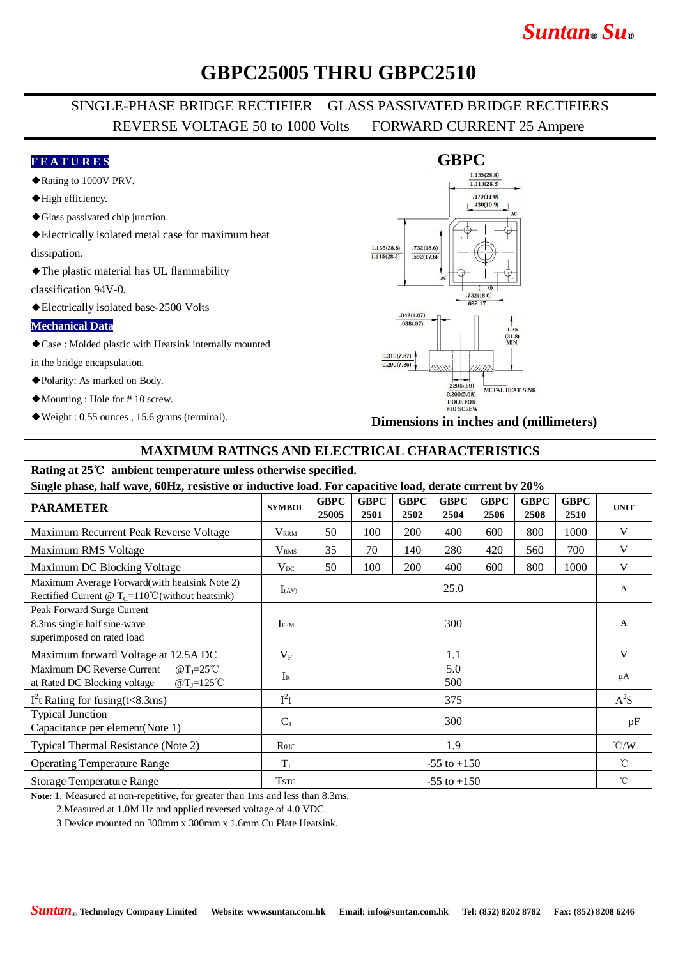# *Suntan***®** *Su***®**

## **GBPC25005 THRU GBPC2510**

### SINGLE-PHASE BRIDGE RECTIFIER GLASS PASSIVATED BRIDGE RECTIFIERS REVERSE VOLTAGE 50 to 1000 Volts FORWARD CURRENT 25 Ampere

#### **F E A T U R E S**

- ◆Rating to 1000V PRV.
- ◆High efficiency.
- ◆Glass passivated chip junction.
- ◆Electrically isolated metal case for maximum heat

dissipation.

◆The plastic material has UL flammability

classification 94V-0.

◆Electrically isolated base-2500 Volts

#### **Mechanical Data**

◆Case : Molded plastic with Heatsink internally mounted

in the bridge encapsulation.

- ◆Polarity: As marked on Body.
- ◆Mounting : Hole for # 10 screw.
- ◆Weight : 0.55 ounces , 15.6 grams (terminal).



**Dimensions in inches and (millimeters)**

#### **MAXIMUM RATINGS AND ELECTRICAL CHARACTERISTICS**

## **Rating at 25**℃ **ambient temperature unless otherwise specified.**

**Single phase, half wave, 60Hz, resistive or inductive load. For capacitive load, derate current by 20%**

| <b>PARAMETER</b>                                                                                                                           | <b>SYMBOL</b>           | <b>GBPC</b><br>25005 | <b>GBPC</b><br>2501 | <b>GBPC</b><br>2502 | <b>GBPC</b><br>2504 | <b>GBPC</b><br>2506 | <b>GBPC</b><br>2508 | <b>GBPC</b><br>2510 | <b>UNIT</b>   |
|--------------------------------------------------------------------------------------------------------------------------------------------|-------------------------|----------------------|---------------------|---------------------|---------------------|---------------------|---------------------|---------------------|---------------|
| Maximum Recurrent Peak Reverse Voltage                                                                                                     | <b>V</b> <sub>RRM</sub> | 50                   | 100                 | 200                 | 400                 | 600                 | 800                 | 1000                | V             |
| Maximum RMS Voltage                                                                                                                        | V <sub>RMS</sub>        | 35                   | 70                  | 140                 | 280                 | 420                 | 560                 | 700                 | V             |
| Maximum DC Blocking Voltage                                                                                                                | $V_{DC}$                | 50                   | 100                 | 200                 | 400                 | 600                 | 800                 | 1000                | V             |
| Maximum Average Forward(with heatsink Note 2)<br>Rectified Current @ $T_c=110^{\circ}$ C (without heatsink)                                | $I_{(AV)}$              |                      |                     |                     | 25.0                |                     |                     |                     | A             |
| Peak Forward Surge Current<br>8.3ms single half sine-wave<br>superimposed on rated load                                                    | <b>IFSM</b>             |                      |                     |                     | 300                 |                     |                     |                     | A             |
| Maximum forward Voltage at 12.5A DC                                                                                                        | $V_{\rm F}$             | 1.1                  |                     |                     |                     |                     |                     |                     | V             |
| Maximum DC Reverse Current<br>$\omega$ T <sub>I</sub> =25°C<br>$\omega$ T <sub>J</sub> =125 <sup>°</sup> C<br>at Rated DC Blocking voltage | $I_{R}$                 | 5.0<br>500           |                     |                     |                     |                     |                     |                     | $\mu A$       |
| $I2t$ Rating for fusing (t<8.3ms)                                                                                                          | $I^2t$                  | 375                  |                     |                     |                     |                     |                     |                     | $A^2S$        |
| <b>Typical Junction</b><br>Capacitance per element(Note 1)                                                                                 | $C_{J}$                 | 300                  |                     |                     |                     |                     |                     |                     | pF            |
| Typical Thermal Resistance (Note 2)                                                                                                        | $R$ $\theta$ JC         |                      |                     |                     | 1.9                 |                     |                     |                     | $\degree$ C/W |
| <b>Operating Temperature Range</b>                                                                                                         | $T_{\rm J}$             | $-55$ to $+150$      |                     |                     |                     |                     |                     |                     | $^{\circ}C$   |
| <b>Storage Temperature Range</b>                                                                                                           | <b>TSTG</b>             | $-55$ to $+150$      |                     |                     |                     |                     |                     |                     | $^{\circ}$ C  |

**Note:** 1. Measured at non-repetitive, for greater than 1ms and less than 8.3ms.

2.Measured at 1.0M Hz and applied reversed voltage of 4.0 VDC.

3 Device mounted on 300mm x 300mm x 1.6mm Cu Plate Heatsink.